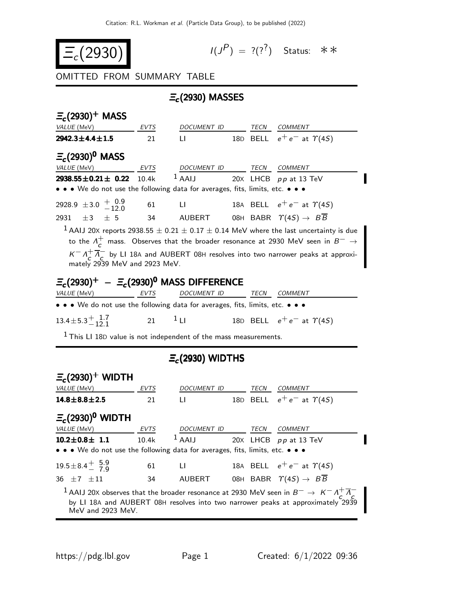$$
\Xi_c(2930) \qquad \qquad \iota \iota
$$

$$
I(J^P) = ?(?^?)
$$
 Status:  $**$ 

## OMITTED FROM SUMMARY TABLE

## $\Xi_c$ (2930) MASSES

| $E_c(2930)^+$ MASS                                                                                                                                                                                                                                                                                                   |      |                          |  |      |                                                          |  |
|----------------------------------------------------------------------------------------------------------------------------------------------------------------------------------------------------------------------------------------------------------------------------------------------------------------------|------|--------------------------|--|------|----------------------------------------------------------|--|
| VALUE (MeV)                                                                                                                                                                                                                                                                                                          | EVTS | DOCUMENT ID              |  |      | TECN COMMENT                                             |  |
| $2942.3 \pm 4.4 \pm 1.5$                                                                                                                                                                                                                                                                                             | 21   | LI.                      |  |      | 18D BELL $e^+e^-$ at $\gamma$ (4S)                       |  |
| $\Xi_c(2930)^0$ MASS                                                                                                                                                                                                                                                                                                 |      |                          |  |      |                                                          |  |
| VALUE (MeV)<br><b>EVTS</b>                                                                                                                                                                                                                                                                                           |      | DOCUMENT ID TECN COMMENT |  |      |                                                          |  |
| $2938.55 \pm 0.21 \pm 0.22$ 10.4k                                                                                                                                                                                                                                                                                    |      | $1$ AAIJ                 |  |      | 20X LHCB pp at 13 TeV                                    |  |
| • • • We do not use the following data for averages, fits, limits, etc. • • •                                                                                                                                                                                                                                        |      |                          |  |      |                                                          |  |
| 2928.9 $\pm$ 3.0 $^{+0.9}_{-12.0}$                                                                                                                                                                                                                                                                                   | 61   | <b>LI</b> and the state  |  |      | 18A BELL $e^+e^-$ at $\gamma$ (4S)                       |  |
| $\pm 3$ $\pm 5$<br>2931                                                                                                                                                                                                                                                                                              | 34   |                          |  |      | AUBERT 08H BABR $\Upsilon(4S) \rightarrow B\overline{B}$ |  |
| to the $\Lambda_{\mathcal{L}}^{+}$ mass. Observes that the broader resonance at 2930 MeV seen in $B^{-} \to$<br>$K = \Lambda_c^+ \overline{\Lambda}_C^-$ by LI 18A and AUBERT 08H resolves into two narrower peaks at approxi-<br>mately 2939 MeV and 2923 MeV.<br>$\Xi_c(2930)^+$ – $\Xi_c(2930)^0$ MASS DIFFERENCE |      |                          |  |      |                                                          |  |
| VALUE (MeV)<br>EVTS<br>• • • We do not use the following data for averages, fits, limits, etc. • • •                                                                                                                                                                                                                 |      | DOCUMENT ID              |  | TECN | <b>COMMENT</b>                                           |  |
| $13.4 \pm 5.3 \pm 1.7$                                                                                                                                                                                                                                                                                               | 21   | 1 <sub>LI</sub>          |  |      | 18D BELL $e^+e^-$ at $\gamma$ (4S)                       |  |
| $1$ This LI 18D value is not independent of the mass measurements.                                                                                                                                                                                                                                                   |      |                          |  |      |                                                          |  |
| $E_c(2930)$ WIDTHS                                                                                                                                                                                                                                                                                                   |      |                          |  |      |                                                          |  |
| $E_c(2930)^+$ WIDTH<br>VALUE (MeV)                                                                                                                                                                                                                                                                                   | EVTS | DOCUMENT ID TECN         |  |      | <b>COMMENT</b>                                           |  |
| $14.8 \pm 8.8 \pm 2.5$                                                                                                                                                                                                                                                                                               | 21   | LI.                      |  |      | 18D BELL $e^+e^-$ at $\gamma$ (4S)                       |  |
| $E_c(2930)^0$ WIDTH                                                                                                                                                                                                                                                                                                  |      |                          |  |      |                                                          |  |

| $E_c(2930)^{\circ}$ WID I H                                                   |       |                         |      |                                                                                                                                                                                                           |
|-------------------------------------------------------------------------------|-------|-------------------------|------|-----------------------------------------------------------------------------------------------------------------------------------------------------------------------------------------------------------|
| <i>VALUE</i> (MeV)                                                            | EVTS  | <i>DOCUMENT ID</i>      | TECN | COMMENT                                                                                                                                                                                                   |
| $10.2 \pm 0.8 \pm 1.1$                                                        | 10.4k | $1$ AAIJ                |      | 20X LHCB pp at 13 TeV                                                                                                                                                                                     |
| • • • We do not use the following data for averages, fits, limits, etc. • • • |       |                         |      |                                                                                                                                                                                                           |
| $19.5 \pm 8.4 \frac{+}{-} 5.9$                                                | 61    | an Liberta Constitution |      | 18A BELL $e^+e^-$ at $\Upsilon(4S)$                                                                                                                                                                       |
| $36 + 7 + 11$                                                                 | 34    | AUBERT                  |      | 08H BABR $\Upsilon(4S) \rightarrow B\overline{B}$                                                                                                                                                         |
| MeV and 2923 MeV.                                                             |       |                         |      | $^{-1}$ AAIJ 20X observes that the broader resonance at 2930 MeV seen in $B^-\to~K^-\Lambda_c^+\overline{\Lambda}_C^-$<br>by LI 18A and AUBERT 08H resolves into two narrower peaks at approximately 2939 |

Π